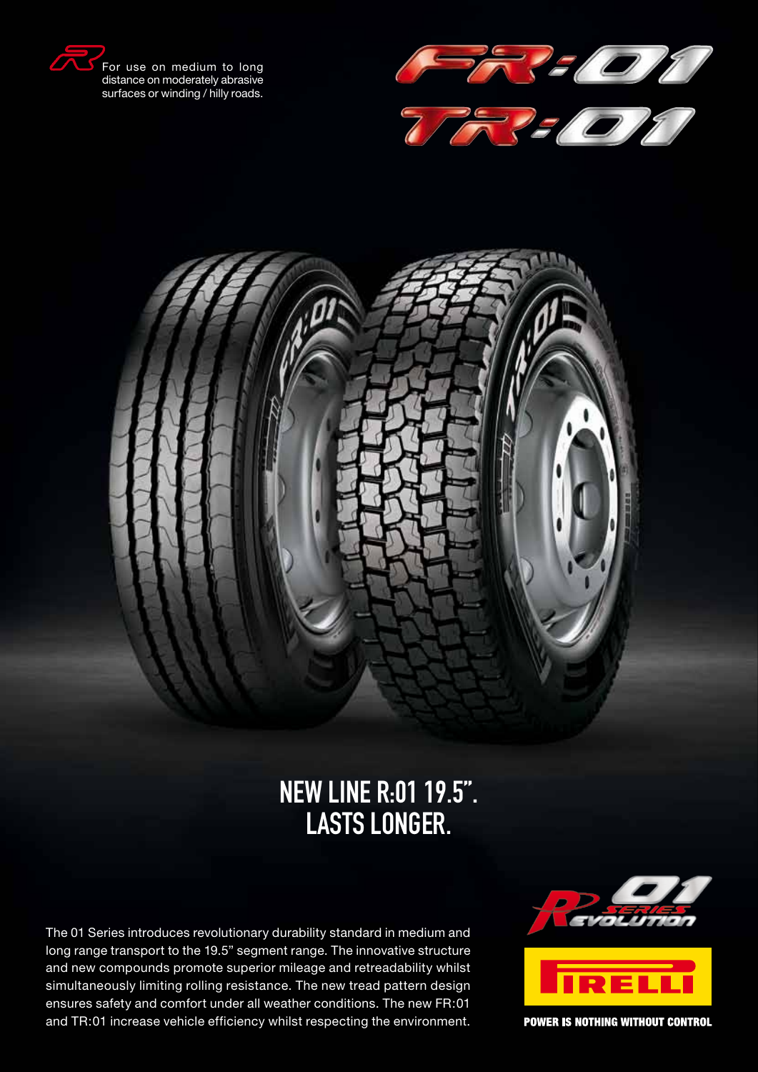

distance on moderately abrasive surfaces or winding / hilly roads.





# New line R:01 19.5". Lasts longer.

The 01 Series introduces revolutionary durability standard in medium and long range transport to the 19.5" segment range. The innovative structure and new compounds promote superior mileage and retreadability whilst simultaneously limiting rolling resistance. The new tread pattern design ensures safety and comfort under all weather conditions. The new FR:01 and TR:01 increase vehicle efficiency whilst respecting the environment.





**POWER IS NOTHING WITHOUT CONTROL**